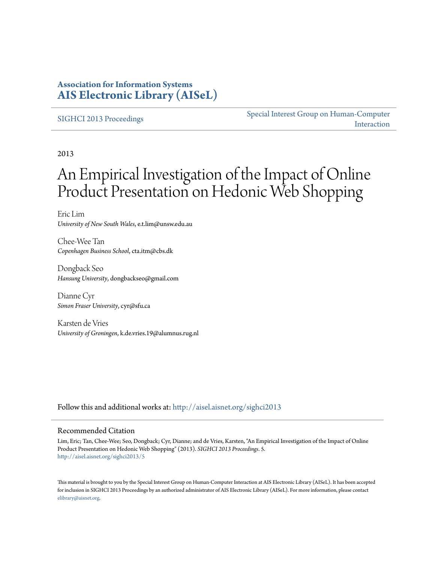### **Association for Information Systems [AIS Electronic Library \(AISeL\)](http://aisel.aisnet.org?utm_source=aisel.aisnet.org%2Fsighci2013%2F5&utm_medium=PDF&utm_campaign=PDFCoverPages)**

#### [SIGHCI 2013 Proceedings](http://aisel.aisnet.org/sighci2013?utm_source=aisel.aisnet.org%2Fsighci2013%2F5&utm_medium=PDF&utm_campaign=PDFCoverPages)

[Special Interest Group on Human-Computer](http://aisel.aisnet.org/sighci?utm_source=aisel.aisnet.org%2Fsighci2013%2F5&utm_medium=PDF&utm_campaign=PDFCoverPages) [Interaction](http://aisel.aisnet.org/sighci?utm_source=aisel.aisnet.org%2Fsighci2013%2F5&utm_medium=PDF&utm_campaign=PDFCoverPages)

2013

# An Empirical Investigation of the Impact of Online Product Presentation on Hedonic Web Shopping

Eric Lim *University of New South Wales*, e.t.lim@unsw.edu.au

Chee-Wee Tan *Copenhagen Business School*, cta.itm@cbs.dk

Dongback Seo *Hansung University*, dongbackseo@gmail.com

Dianne Cyr *Simon Fraser University*, cyr@sfu.ca

Karsten de Vries *University of Groningen*, k.de.vries.19@alumnus.rug.nl

Follow this and additional works at: [http://aisel.aisnet.org/sighci2013](http://aisel.aisnet.org/sighci2013?utm_source=aisel.aisnet.org%2Fsighci2013%2F5&utm_medium=PDF&utm_campaign=PDFCoverPages)

#### Recommended Citation

Lim, Eric; Tan, Chee-Wee; Seo, Dongback; Cyr, Dianne; and de Vries, Karsten, "An Empirical Investigation of the Impact of Online Product Presentation on Hedonic Web Shopping" (2013). *SIGHCI 2013 Proceedings*. 5. [http://aisel.aisnet.org/sighci2013/5](http://aisel.aisnet.org/sighci2013/5?utm_source=aisel.aisnet.org%2Fsighci2013%2F5&utm_medium=PDF&utm_campaign=PDFCoverPages)

This material is brought to you by the Special Interest Group on Human-Computer Interaction at AIS Electronic Library (AISeL). It has been accepted for inclusion in SIGHCI 2013 Proceedings by an authorized administrator of AIS Electronic Library (AISeL). For more information, please contact [elibrary@aisnet.org.](mailto:elibrary@aisnet.org%3E)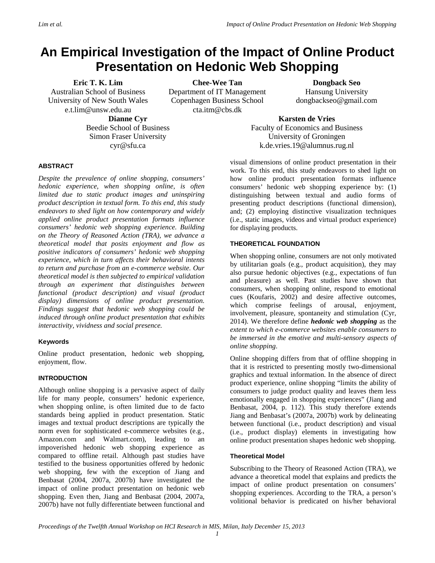## **An Empirical Investigation of the Impact of Online Product Presentation on Hedonic Web Shopping**

#### **Eric T. K. Lim**

Australian School of Business University of New South Wales e.t.lim@unsw.edu.au

**Dianne Cyr** Beedie School of Business Simon Fraser University cyr@sfu.ca

**Chee-Wee Tan** Department of IT Management Copenhagen Business School cta.itm@cbs.dk

**Dongback Seo** Hansung University dongbackseo@gmail.com

**Karsten de Vries** Faculty of Economics and Business University of Groningen k.de.vries.19@alumnus.rug.nl

#### **ABSTRACT**

*Despite the prevalence of online shopping, consumers' hedonic experience, when shopping online, is often limited due to static product images and uninspiring product description in textual form. To this end, this study endeavors to shed light on how contemporary and widely applied online product presentation formats influence consumers' hedonic web shopping experience. Building on the Theory of Reasoned Action (TRA), we advance a theoretical model that posits enjoyment and flow as positive indicators of consumers' hedonic web shopping experience, which in turn affects their behavioral intents to return and purchase from an e-commerce website. Our theoretical model is then subjected to empirical validation through an experiment that distinguishes between functional (product description) and visual (product display) dimensions of online product presentation. Findings suggest that hedonic web shopping could be induced through online product presentation that exhibits interactivity, vividness and social presence.*

#### **Keywords**

Online product presentation, hedonic web shopping, enjoyment, flow.

#### **INTRODUCTION**

Although online shopping is a pervasive aspect of daily life for many people, consumers' hedonic experience, when shopping online, is often limited due to de facto standards being applied in product presentation. Static images and textual product descriptions are typically the norm even for sophisticated e-commerce websites (e.g., Amazon.com and Walmart.com), leading to an impoverished hedonic web shopping experience as compared to offline retail. Although past studies have testified to the business opportunities offered by hedonic web shopping, few with the exception of Jiang and Benbasat (2004, 2007a, 2007b) have investigated the impact of online product presentation on hedonic web shopping. Even then, Jiang and Benbasat (2004, 2007a, 2007b) have not fully differentiate between functional and

visual dimensions of online product presentation in their work. To this end, this study endeavors to shed light on how online product presentation formats influence consumers' hedonic web shopping experience by: (1) distinguishing between textual and audio forms of presenting product descriptions (functional dimension), and; (2) employing distinctive visualization techniques (i.e., static images, videos and virtual product experience) for displaying products.

#### **THEORETICAL FOUNDATION**

When shopping online, consumers are not only motivated by utilitarian goals (e.g., product acquisition), they may also pursue hedonic objectives (e.g., expectations of fun and pleasure) as well. Past studies have shown that consumers, when shopping online, respond to emotional cues (Koufaris, 2002) and desire affective outcomes, which comprise feelings of arousal, enjoyment, involvement, pleasure, spontaneity and stimulation (Cyr, 2014). We therefore define *hedonic web shopping* as the *extent to which e-commerce websites enable consumers to be immersed in the emotive and multi-sensory aspects of online shopping*.

Online shopping differs from that of offline shopping in that it is restricted to presenting mostly two-dimensional graphics and textual information. In the absence of direct product experience, online shopping "limits the ability of consumers to judge product quality and leaves them less emotionally engaged in shopping experiences" (Jiang and Benbasat, 2004, p. 112). This study therefore extends Jiang and Benbasat's (2007a, 2007b) work by delineating between functional (i.e., product description) and visual (i.e., product display) elements in investigating how online product presentation shapes hedonic web shopping.

#### **Theoretical Model**

Subscribing to the Theory of Reasoned Action (TRA), we advance a theoretical model that explains and predicts the impact of online product presentation on consumers' shopping experiences. According to the TRA, a person's volitional behavior is predicated on his/her behavioral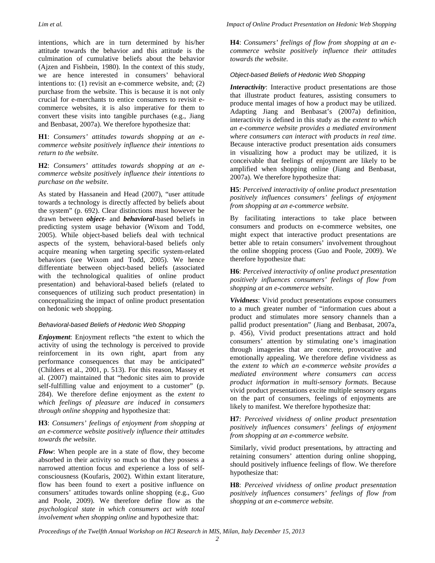intentions, which are in turn determined by his/her attitude towards the behavior and this attitude is the culmination of cumulative beliefs about the behavior (Ajzen and Fishbein, 1980). In the context of this study, we are hence interested in consumers' behavioral intentions to: (1) revisit an e-commerce website, and; (2) purchase from the website. This is because it is not only crucial for e-merchants to entice consumers to revisit ecommerce websites, it is also imperative for them to convert these visits into tangible purchases (e.g., Jiang and Benbasat, 2007a). We therefore hypothesize that:

**H1**: *Consumers' attitudes towards shopping at an ecommerce website positively influence their intentions to return to the website.*

**H2**: *Consumers' attitudes towards shopping at an ecommerce website positively influence their intentions to purchase on the website.*

As stated by Hassanein and Head (2007), "user attitude towards a technology is directly affected by beliefs about the system" (p. 692). Clear distinctions must however be drawn between *object*- and *behavioral*-based beliefs in predicting system usage behavior (Wixom and Todd, 2005). While object-based beliefs deal with technical aspects of the system, behavioral-based beliefs only acquire meaning when targeting specific system-related behaviors (see Wixom and Todd, 2005). We hence differentiate between object-based beliefs (associated with the technological qualities of online product presentation) and behavioral-based beliefs (related to consequences of utilizing such product presentation) in conceptualizing the impact of online product presentation on hedonic web shopping.

#### *Behavioral-based Beliefs of Hedonic Web Shopping*

*Enjoyment*: Enjoyment reflects "the extent to which the activity of using the technology is perceived to provide reinforcement in its own right, apart from any performance consequences that may be anticipated" (Childers et al., 2001, p. 513). For this reason, Massey et al. (2007) maintained that "hedonic sites aim to provide self-fulfilling value and enjoyment to a customer" (p. 284). We therefore define enjoyment as the *extent to which feelings of pleasure are induced in consumers through online shopping* and hypothesize that:

#### **H3**: *Consumers' feelings of enjoyment from shopping at an e-commerce website positively influence their attitudes towards the website.*

*Flow*: When people are in a state of flow, they become absorbed in their activity so much so that they possess a narrowed attention focus and experience a loss of selfconsciousness (Koufaris, 2002). Within extant literature, flow has been found to exert a positive influence on consumers' attitudes towards online shopping (e.g., Guo and Poole, 2009). We therefore define flow as the *psychological state in which consumers act with total involvement when shopping online* and hypothesize that:

**H4**: *Consumers' feelings of flow from shopping at an ecommerce website positively influence their attitudes towards the website.*

#### *Object-based Beliefs of Hedonic Web Shopping*

*Interactivity*: Interactive product presentations are those that illustrate product features, assisting consumers to produce mental images of how a product may be utilized. Adapting Jiang and Benbasat's (2007a) definition, interactivity is defined in this study as the *extent to which an e-commerce website provides a mediated environment where consumers can interact with products in real time*. Because interactive product presentation aids consumers in visualizing how a product may be utilized, it is conceivable that feelings of enjoyment are likely to be amplified when shopping online (Jiang and Benbasat, 2007a). We therefore hypothesize that:

#### **H5**: *Perceived interactivity of online product presentation positively influences consumers' feelings of enjoyment from shopping at an e-commerce website.*

By facilitating interactions to take place between consumers and products on e-commerce websites, one might expect that interactive product presentations are better able to retain consumers' involvement throughout the online shopping process (Guo and Poole, 2009). We therefore hypothesize that:

**H6**: *Perceived interactivity of online product presentation positively influences consumers' feelings of flow from shopping at an e-commerce website.*

*Vividness*: Vivid product presentations expose consumers to a much greater number of "information cues about a product and stimulates more sensory channels than a pallid product presentation" (Jiang and Benbasat, 2007a, p. 456), Vivid product presentations attract and hold consumers' attention by stimulating one's imagination through imageries that are concrete, provocative and emotionally appealing. We therefore define vividness as the *extent to which an e-commerce website provides a mediated environment where consumers can access product information in multi-sensory formats*. Because vivid product presentations excite multiple sensory organs on the part of consumers, feelings of enjoyments are likely to manifest. We therefore hypothesize that:

**H7**: *Perceived vividness of online product presentation positively influences consumers' feelings of enjoyment from shopping at an e-commerce website.*

Similarly, vivid product presentations, by attracting and retaining consumers' attention during online shopping, should positively influence feelings of flow. We therefore hypothesize that:

**H8**: *Perceived vividness of online product presentation positively influences consumers' feelings of flow from shopping at an e-commerce website.*

*Proceedings of the Twelfth Annual Workshop on HCI Research in MIS, Milan, Italy December 15, 2013*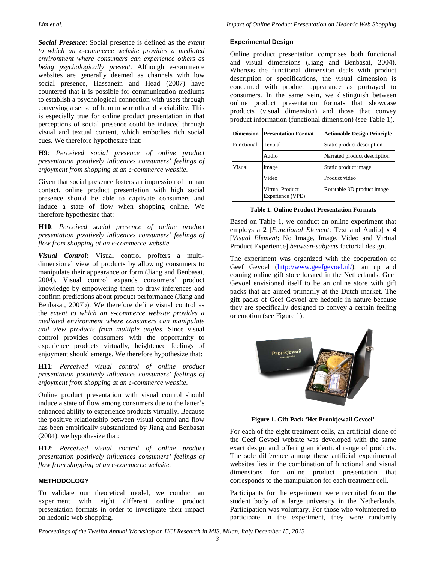*Social Presence*: Social presence is defined as the *extent to which an e-commerce website provides a mediated environment where consumers can experience others as being psychologically present*. Although e-commerce websites are generally deemed as channels with low social presence, Hassanein and Head (2007) have countered that it is possible for communication mediums to establish a psychological connection with users through conveying a sense of human warmth and sociability. This is especially true for online product presentation in that perceptions of social presence could be induced through visual and textual content, which embodies rich social cues. We therefore hypothesize that:

**H9**: *Perceived social presence of online product presentation positively influences consumers' feelings of enjoyment from shopping at an e-commerce website.*

Given that social presence fosters an impression of human contact, online product presentation with high social presence should be able to captivate consumers and induce a state of flow when shopping online. We therefore hypothesize that:

**H10**: *Perceived social presence of online product presentation positively influences consumers' feelings of flow from shopping at an e-commerce website.*

*Visual Control*: Visual control proffers a multidimensional view of products by allowing consumers to manipulate their appearance or form (Jiang and Benbasat, 2004). Visual control expands consumers' product knowledge by empowering them to draw inferences and confirm predictions about product performance (Jiang and Benbasat, 2007b). We therefore define visual control as the *extent to which an e-commerce website provides a mediated environment where consumers can manipulate and view products from multiple angles*. Since visual control provides consumers with the opportunity to experience products virtually, heightened feelings of enjoyment should emerge. We therefore hypothesize that:

**H11**: *Perceived visual control of online product presentation positively influences consumers' feelings of enjoyment from shopping at an e-commerce website.*

Online product presentation with visual control should induce a state of flow among consumers due to the latter's enhanced ability to experience products virtually. Because the positive relationship between visual control and flow has been empirically substantiated by Jiang and Benbasat (2004), we hypothesize that:

**H12**: *Perceived visual control of online product presentation positively influences consumers' feelings of flow from shopping at an e-commerce website.*

#### **METHODOLOGY**

To validate our theoretical model, we conduct an experiment with eight different online product presentation formats in order to investigate their impact on hedonic web shopping.

#### **Experimental Design**

Online product presentation comprises both functional and visual dimensions (Jiang and Benbasat, 2004). Whereas the functional dimension deals with product description or specifications, the visual dimension is concerned with product appearance as portrayed to consumers. In the same vein, we distinguish between online product presentation formats that showcase products (visual dimension) and those that convey product information (functional dimension) (see Table 1).

| <b>Dimension</b> | <b>Presentation Format</b>                 | <b>Actionable Design Principle</b> |  |  |  |  |  |  |
|------------------|--------------------------------------------|------------------------------------|--|--|--|--|--|--|
| Functional       | Textual                                    | Static product description         |  |  |  |  |  |  |
|                  | Audio                                      | Narrated product description       |  |  |  |  |  |  |
| Visual           | Image                                      | Static product image               |  |  |  |  |  |  |
|                  | Video                                      | Product video                      |  |  |  |  |  |  |
|                  | <b>Virtual Product</b><br>Experience (VPE) | Rotatable 3D product image         |  |  |  |  |  |  |

#### **Table 1. Online Product Presentation Formats**

Based on Table 1, we conduct an online experiment that employs a **2** [*Functional Element*: Text and Audio] x **4**  [*Visual Element*: No Image, Image, Video and Virtual Product Experience] *between-subjects* factorial design.

The experiment was organized with the cooperation of Geef Gevoel [\(http://www.geefgevoel.nl/\)](http://www.geefgevoel.nl/), an up and coming online gift store located in the Netherlands. Geef Gevoel envisioned itself to be an online store with gift packs that are aimed primarily at the Dutch market. The gift packs of Geef Gevoel are hedonic in nature because they are specifically designed to convey a certain feeling or emotion (see Figure 1).



**Figure 1. Gift Pack 'Het Pronkjewail Gevoel'**

For each of the eight treatment cells, an artificial clone of the Geef Gevoel website was developed with the same exact design and offering an identical range of products. The sole difference among these artificial experimental websites lies in the combination of functional and visual dimensions for online product presentation that corresponds to the manipulation for each treatment cell.

Participants for the experiment were recruited from the student body of a large university in the Netherlands. Participation was voluntary. For those who volunteered to participate in the experiment, they were randomly

*Proceedings of the Twelfth Annual Workshop on HCI Research in MIS, Milan, Italy December 15, 2013*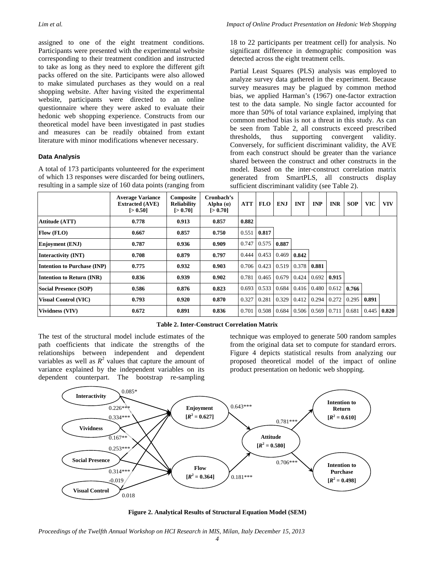assigned to one of the eight treatment conditions. Participants were presented with the experimental website corresponding to their treatment condition and instructed to take as long as they need to explore the different gift packs offered on the site. Participants were also allowed to make simulated purchases as they would on a real shopping website. After having visited the experimental website, participants were directed to an online questionnaire where they were asked to evaluate their hedonic web shopping experience. Constructs from our theoretical model have been investigated in past studies and measures can be readily obtained from extant literature with minor modifications whenever necessary.

#### **Data Analysis**

A total of 173 participants volunteered for the experiment of which 13 responses were discarded for being outliners, resulting in a sample size of 160 data points (ranging from 18 to 22 participants per treatment cell) for analysis. No significant difference in demographic composition was detected across the eight treatment cells.

Partial Least Squares (PLS) analysis was employed to analyze survey data gathered in the experiment. Because survey measures may be plagued by common method bias, we applied Harman's (1967) one-factor extraction test to the data sample. No single factor accounted for more than 50% of total variance explained, implying that common method bias is not a threat in this study. As can be seen from Table 2, all constructs exceed prescribed thresholds, thus supporting convergent validity. Conversely, for sufficient discriminant validity, the AVE from each construct should be greater than the variance shared between the construct and other constructs in the model. Based on the inter-construct correlation matrix generated from SmartPLS, all constructs display sufficient discriminant validity (see Table 2).

|                              | <b>Average Variance</b><br><b>Extracted (AVE)</b><br>50.501 | Composite<br><b>Reliability</b><br>$5 - 0.701$ | Cronbach's<br>Alpha $(a)$<br>$5 - 0.701$ | <b>ATT</b> | <b>FLO</b>          | ENJ   | <b>INT</b>         | <b>INP</b>  | <b>INR</b> | <b>SOP</b> | <b>VIC</b> | <b>VIV</b> |
|------------------------------|-------------------------------------------------------------|------------------------------------------------|------------------------------------------|------------|---------------------|-------|--------------------|-------------|------------|------------|------------|------------|
| <b>Attitude (ATT)</b>        | 0.778                                                       | 0.913                                          | 0.857                                    | 0.882      |                     |       |                    |             |            |            |            |            |
| Flow (FLO)                   | 0.667                                                       | 0.857                                          | 0.750                                    |            | $0.551$ 0.817       |       |                    |             |            |            |            |            |
| <b>Enjoyment</b> (ENJ)       | 0.787                                                       | 0.936                                          | 0.909                                    |            | $0.747$ 0.575       | 0.887 |                    |             |            |            |            |            |
| Interactivity (INT)          | 0.708                                                       | 0.879                                          | 0.797                                    | 0.444      | 0.453               | 0.469 | 0.842              |             |            |            |            |            |
| Intention to Purchase (INP)  | 0.775                                                       | 0.932                                          | 0.903                                    | 0.706      | 0.423               | 0.519 | 0.378              | 0.881       |            |            |            |            |
| Intention to Return (INR)    | 0.836                                                       | 0.939                                          | 0.902                                    | 0.781      | 0.465               | 0.679 | 0.424              | 0.692       | 0.915      |            |            |            |
| <b>Social Presence (SOP)</b> | 0.586                                                       | 0.876                                          | 0.823                                    |            | $0.693 \mid 0.533$  | 0.684 | $0.416 \mid 0.480$ |             | 0.612      | 0.766      |            |            |
| <b>Visual Control (VIC)</b>  | 0.793                                                       | 0.920                                          | 0.870                                    | 0.327      | 0.281               | 0.329 | 0.412              | 0.294       | 0.272      | 0.295      | 0.891      |            |
| Vividness (VIV)              | 0.672                                                       | 0.891                                          | 0.836                                    |            | $0.701 \quad 0.508$ | 0.684 |                    | 0.506 0.569 | 0.711      | 0.681      | 0.445      | 0.820      |

**Table 2. Inter-Construct Correlation Matrix**

The test of the structural model include estimates of the path coefficients that indicate the strengths of the relationships between independent and dependent variables as well as  $R^2$  values that capture the amount of variance explained by the independent variables on its dependent counterpart. The bootstrap re-sampling

technique was employed to generate 500 random samples from the original data set to compute for standard errors. Figure 4 depicts statistical results from analyzing our proposed theoretical model of the impact of online product presentation on hedonic web shopping.



**Figure 2. Analytical Results of Structural Equation Model (SEM)**

*Proceedings of the Twelfth Annual Workshop on HCI Research in MIS, Milan, Italy December 15, 2013*